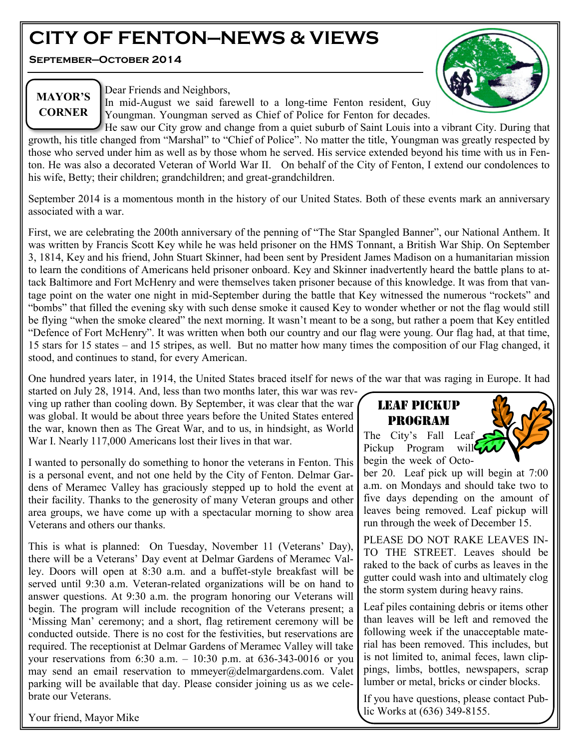# **CITY OF FENTON—NEWS & VIEWS**

**September—October 2014**



# **MAYOR'S CORNER**

Dear Friends and Neighbors,

In mid-August we said farewell to a long-time Fenton resident, Guy Youngman. Youngman served as Chief of Police for Fenton for decades.

He saw our City grow and change from a quiet suburb of Saint Louis into a vibrant City. During that growth, his title changed from "Marshal" to "Chief of Police". No matter the title, Youngman was greatly respected by those who served under him as well as by those whom he served. His service extended beyond his time with us in Fenton. He was also a decorated Veteran of World War II. On behalf of the City of Fenton, I extend our condolences to his wife, Betty; their children; grandchildren; and great-grandchildren.

September 2014 is a momentous month in the history of our United States. Both of these events mark an anniversary associated with a war.

First, we are celebrating the 200th anniversary of the penning of "The Star Spangled Banner", our National Anthem. It was written by Francis Scott Key while he was held prisoner on the HMS Tonnant, a British War Ship. On September 3, 1814, Key and his friend, John Stuart Skinner, had been sent by President James Madison on a humanitarian mission to learn the conditions of Americans held prisoner onboard. Key and Skinner inadvertently heard the battle plans to attack Baltimore and Fort McHenry and were themselves taken prisoner because of this knowledge. It was from that vantage point on the water one night in mid-September during the battle that Key witnessed the numerous "rockets" and "bombs" that filled the evening sky with such dense smoke it caused Key to wonder whether or not the flag would still be flying "when the smoke cleared" the next morning. It wasn't meant to be a song, but rather a poem that Key entitled "Defence of Fort McHenry". It was written when both our country and our flag were young. Our flag had, at that time, 15 stars for 15 states – and 15 stripes, as well. But no matter how many times the composition of our Flag changed, it stood, and continues to stand, for every American.

One hundred years later, in 1914, the United States braced itself for news of the war that was raging in Europe. It had

started on July 28, 1914. And, less than two months later, this war was revving up rather than cooling down. By September, it was clear that the war was global. It would be about three years before the United States entered the war, known then as The Great War, and to us, in hindsight, as World War I. Nearly 117,000 Americans lost their lives in that war.

I wanted to personally do something to honor the veterans in Fenton. This is a personal event, and not one held by the City of Fenton. Delmar Gardens of Meramec Valley has graciously stepped up to hold the event at their facility. Thanks to the generosity of many Veteran groups and other area groups, we have come up with a spectacular morning to show area Veterans and others our thanks.

This is what is planned: On Tuesday, November 11 (Veterans' Day), there will be a Veterans' Day event at Delmar Gardens of Meramec Valley. Doors will open at 8:30 a.m. and a buffet-style breakfast will be served until 9:30 a.m. Veteran-related organizations will be on hand to answer questions. At 9:30 a.m. the program honoring our Veterans will begin. The program will include recognition of the Veterans present; a 'Missing Man' ceremony; and a short, flag retirement ceremony will be conducted outside. There is no cost for the festivities, but reservations are required. The receptionist at Delmar Gardens of Meramec Valley will take your reservations from 6:30 a.m. – 10:30 p.m. at 636-343-0016 or you may send an email reservation to mmeyer@delmargardens.com. Valet parking will be available that day. Please consider joining us as we celebrate our Veterans.

Your friend, Mayor Mike

# LEAF PICKUP PROGRAM

The City's Fall Leaf Pickup Program will begin the week of Octo-

ber 20. Leaf pick up will begin at 7:00 a.m. on Mondays and should take two to five days depending on the amount of leaves being removed. Leaf pickup will run through the week of December 15.

PLEASE DO NOT RAKE LEAVES IN-TO THE STREET. Leaves should be raked to the back of curbs as leaves in the gutter could wash into and ultimately clog the storm system during heavy rains.

Leaf piles containing debris or items other than leaves will be left and removed the following week if the unacceptable material has been removed. This includes, but is not limited to, animal feces, lawn clippings, limbs, bottles, newspapers, scrap lumber or metal, bricks or cinder blocks.

If you have questions, please contact Public Works at (636) 349-8155.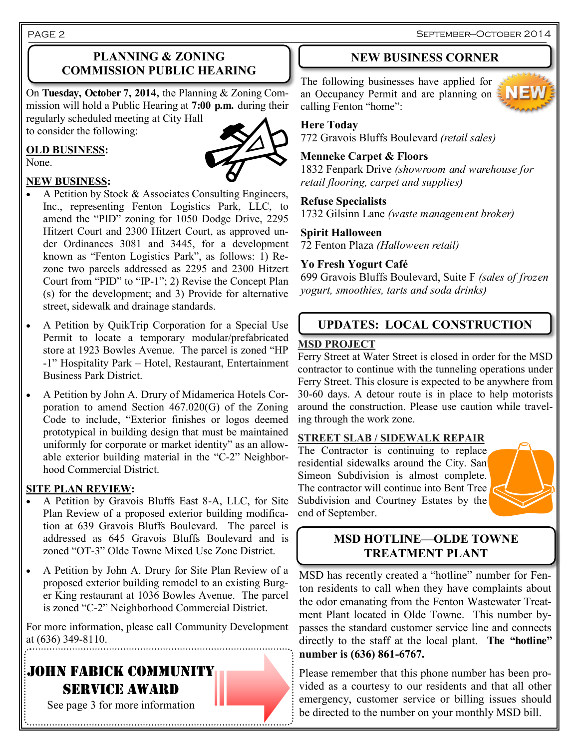September—October 2014

PAGE 2

## **PLANNING & ZONING COMMISSION PUBLIC HEARING**

On **Tuesday, October 7, 2014,** the Planning & Zoning Commission will hold a Public Hearing at **7:00 p.m.** during their regularly scheduled meeting at City Hall

to consider the following:

# **OLD BUSINESS:**



#### **NEW BUSINESS:**

- A Petition by Stock  $&$  Associates Consulting Engineers, Inc., representing Fenton Logistics Park, LLC, to amend the "PID" zoning for 1050 Dodge Drive, 2295 Hitzert Court and 2300 Hitzert Court, as approved under Ordinances 3081 and 3445, for a development known as "Fenton Logistics Park", as follows: 1) Rezone two parcels addressed as 2295 and 2300 Hitzert Court from "PID" to "IP-1"; 2) Revise the Concept Plan (s) for the development; and 3) Provide for alternative street, sidewalk and drainage standards.
- A Petition by QuikTrip Corporation for a Special Use Permit to locate a temporary modular/prefabricated store at 1923 Bowles Avenue. The parcel is zoned "HP -1" Hospitality Park – Hotel, Restaurant, Entertainment Business Park District.
- A Petition by John A. Drury of Midamerica Hotels Corporation to amend Section 467.020(G) of the Zoning Code to include, "Exterior finishes or logos deemed prototypical in building design that must be maintained uniformly for corporate or market identity" as an allowable exterior building material in the "C-2" Neighborhood Commercial District.

### **SITE PLAN REVIEW:**

- A Petition by Gravois Bluffs East 8-A, LLC, for Site Plan Review of a proposed exterior building modification at 639 Gravois Bluffs Boulevard. The parcel is addressed as 645 Gravois Bluffs Boulevard and is zoned "OT-3" Olde Towne Mixed Use Zone District.
- A Petition by John A. Drury for Site Plan Review of a proposed exterior building remodel to an existing Burger King restaurant at 1036 Bowles Avenue. The parcel is zoned "C-2" Neighborhood Commercial District.

For more information, please call Community Development at (636) 349-8110.

# JOHN FABICK COMMUNITY SERVICE AWARD See page 3 for more information



The following businesses have applied for an Occupancy Permit and are planning on calling Fenton "home":

#### **Here Today**

772 Gravois Bluffs Boulevard *(retail sales)*

### **Menneke Carpet & Floors**

1832 Fenpark Drive *(showroom and warehouse for retail flooring, carpet and supplies)*

#### **Refuse Specialists**

1732 Gilsinn Lane *(waste management broker)*

### **Spirit Halloween**

72 Fenton Plaza *(Halloween retail)*

### **Yo Fresh Yogurt Café**

699 Gravois Bluffs Boulevard, Suite F *(sales of frozen yogurt, smoothies, tarts and soda drinks)*

# **UPDATES: LOCAL CONSTRUCTION**

#### **MSD PROJECT**

Ferry Street at Water Street is closed in order for the MSD contractor to continue with the tunneling operations under Ferry Street. This closure is expected to be anywhere from 30-60 days. A detour route is in place to help motorists around the construction. Please use caution while traveling through the work zone.

#### **STREET SLAB / SIDEWALK REPAIR**

The Contractor is continuing to replace residential sidewalks around the City. San Simeon Subdivision is almost complete. The contractor will continue into Bent Tree Subdivision and Courtney Estates by the end of September.



# **MSD HOTLINE—OLDE TOWNE TREATMENT PLANT**

MSD has recently created a "hotline" number for Fenton residents to call when they have complaints about the odor emanating from the Fenton Wastewater Treatment Plant located in Olde Towne. This number bypasses the standard customer service line and connects directly to the staff at the local plant. **The "hotline" number is (636) 861-6767.** 

Please remember that this phone number has been provided as a courtesy to our residents and that all other emergency, customer service or billing issues should be directed to the number on your monthly MSD bill.

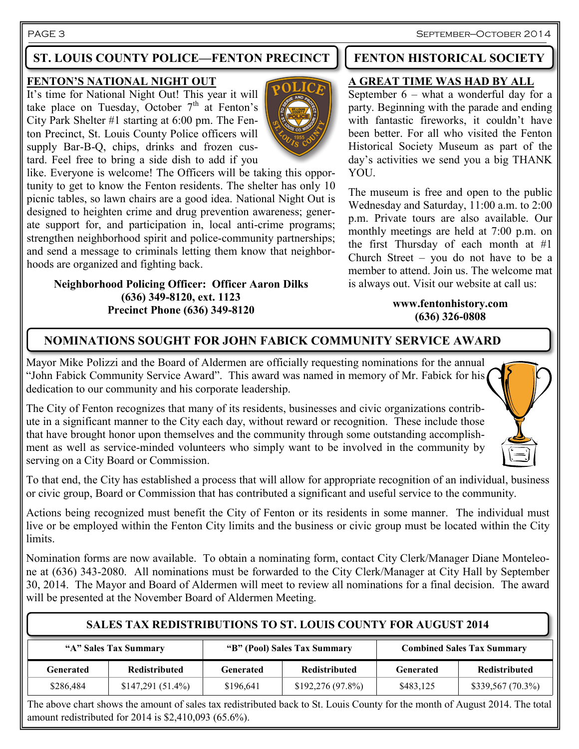PAGE 3 September—October 2014

# **ST. LOUIS COUNTY POLICE—FENTON PRECINCT | FENTON HISTORICAL SOCIETY**

#### **FENTON'S NATIONAL NIGHT OUT**

It's time for National Night Out! This year it will take place on Tuesday, October  $7<sup>th</sup>$  at Fenton's City Park Shelter #1 starting at 6:00 pm. The Fenton Precinct, St. Louis County Police officers will supply Bar-B-Q, chips, drinks and frozen custard. Feel free to bring a side dish to add if you



like. Everyone is welcome! The Officers will be taking this opportunity to get to know the Fenton residents. The shelter has only 10 picnic tables, so lawn chairs are a good idea. National Night Out is designed to heighten crime and drug prevention awareness; generate support for, and participation in, local anti-crime programs; strengthen neighborhood spirit and police-community partnerships; and send a message to criminals letting them know that neighborhoods are organized and fighting back.

#### **Neighborhood Policing Officer: Officer Aaron Dilks (636) 349-8120, ext. 1123 Precinct Phone (636) 349-8120**

### **A GREAT TIME WAS HAD BY ALL**

September 6 – what a wonderful day for a party. Beginning with the parade and ending with fantastic fireworks, it couldn't have been better. For all who visited the Fenton Historical Society Museum as part of the day's activities we send you a big THANK YOU.

The museum is free and open to the public Wednesday and Saturday, 11:00 a.m. to 2:00 p.m. Private tours are also available. Our monthly meetings are held at 7:00 p.m. on the first Thursday of each month at #1 Church Street – you do not have to be a member to attend. Join us. The welcome mat is always out. Visit our website at call us:

#### **www.fentonhistory.com (636) 326-0808**

# **NOMINATIONS SOUGHT FOR JOHN FABICK COMMUNITY SERVICE AWARD**

Mayor Mike Polizzi and the Board of Aldermen are officially requesting nominations for the annual "John Fabick Community Service Award". This award was named in memory of Mr. Fabick for his dedication to our community and his corporate leadership.

The City of Fenton recognizes that many of its residents, businesses and civic organizations contribute in a significant manner to the City each day, without reward or recognition. These include those that have brought honor upon themselves and the community through some outstanding accomplishment as well as service-minded volunteers who simply want to be involved in the community by serving on a City Board or Commission.



Actions being recognized must benefit the City of Fenton or its residents in some manner. The individual must live or be employed within the Fenton City limits and the business or civic group must be located within the City limits.

Nomination forms are now available. To obtain a nominating form, contact City Clerk/Manager Diane Monteleone at (636) 343-2080. All nominations must be forwarded to the City Clerk/Manager at City Hall by September 30, 2014. The Mayor and Board of Aldermen will meet to review all nominations for a final decision. The award will be presented at the November Board of Aldermen Meeting.

# **SALES TAX REDISTRIBUTIONS TO ST. LOUIS COUNTY FOR AUGUST 2014**

| "A" Sales Tax Summary |                      | "B" (Pool) Sales Tax Summary |                  | <b>Combined Sales Tax Summary</b> |                      |
|-----------------------|----------------------|------------------------------|------------------|-----------------------------------|----------------------|
| Generated             | <b>Redistributed</b> | Generated                    | Redistributed    | Generated                         | <b>Redistributed</b> |
| \$286,484             | $$147,291(51.4\%)$   | \$196,641                    | \$192,276(97.8%) | \$483,125                         | \$339,567(70.3%)     |

The above chart shows the amount of sales tax redistributed back to St. Louis County for the month of August 2014. The total amount redistributed for 2014 is \$2,410,093 (65.6%).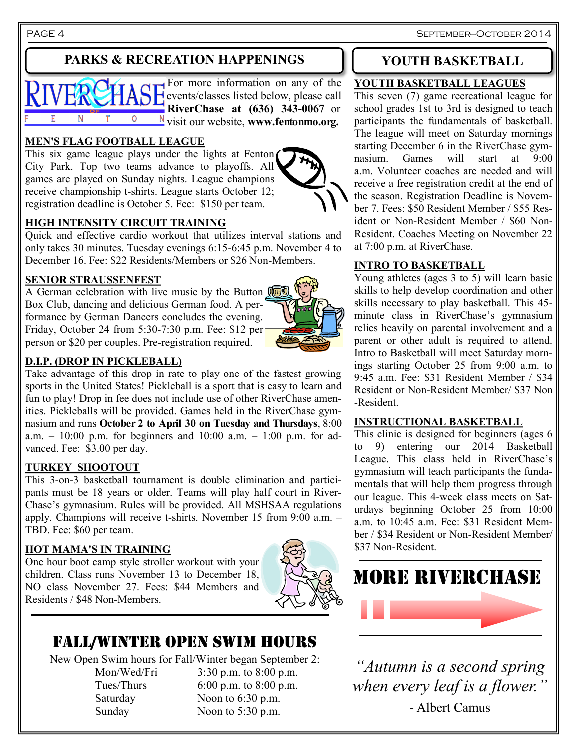PAGE 4 September—October 2014

# **PARKS & RECREATION HAPPENINGS**



#### **MEN'S FLAG FOOTBALL LEAGUE**

This six game league plays under the lights at Fenton City Park. Top two teams advance to playoffs. All games are played on Sunday nights. League champions receive championship t-shirts. League starts October 12; registration deadline is October 5. Fee: \$150 per team.

#### **HIGH INTENSITY CIRCUIT TRAINING**

Quick and effective cardio workout that utilizes interval stations and only takes 30 minutes. Tuesday evenings 6:15-6:45 p.m. November 4 to December 16. Fee: \$22 Residents/Members or \$26 Non-Members.

#### **SENIOR STRAUSSENFEST**

A German celebration with live music by the Button  $\left(\begin{matrix} \boxed{\bullet} \\ \end{matrix}\right)$ Box Club, dancing and delicious German food. A performance by German Dancers concludes the evening. Friday, October 24 from 5:30-7:30 p.m. Fee: \$12 per person or \$20 per couples. Pre-registration required.

#### **D.I.P. (DROP IN PICKLEBALL)**

Take advantage of this drop in rate to play one of the fastest growing sports in the United States! Pickleball is a sport that is easy to learn and fun to play! Drop in fee does not include use of other RiverChase amenities. Pickleballs will be provided. Games held in the RiverChase gymnasium and runs **October 2 to April 30 on Tuesday and Thursdays**, 8:00 a.m.  $-10:00$  p.m. for beginners and  $10:00$  a.m.  $-1:00$  p.m. for advanced. Fee: \$3.00 per day.

#### **TURKEY SHOOTOUT**

This 3-on-3 basketball tournament is double elimination and participants must be 18 years or older. Teams will play half court in River-Chase's gymnasium. Rules will be provided. All MSHSAA regulations apply. Champions will receive t-shirts. November 15 from 9:00 a.m. – TBD. Fee: \$60 per team.

#### **HOT MAMA'S IN TRAINING**

One hour boot camp style stroller workout with your children. Class runs November 13 to December 18, NO class November 27. Fees: \$44 Members and Residents / \$48 Non-Members.



# FALL/WINTER OPEN SWIM HOURS

New Open Swim hours for Fall/Winter began September 2:

Mon/Wed/Fri 3:30 p.m. to 8:00 p.m. Tues/Thurs 6:00 p.m. to 8:00 p.m. Saturday Noon to 6:30 p.m. Sunday Noon to 5:30 p.m.

## **YOUTH BASKETBALL**

#### **YOUTH BASKETBALL LEAGUES**

This seven (7) game recreational league for school grades 1st to 3rd is designed to teach participants the fundamentals of basketball. The league will meet on Saturday mornings starting December 6 in the RiverChase gymnasium. Games will start at 9:00 a.m. Volunteer coaches are needed and will receive a free registration credit at the end of the season. Registration Deadline is November 7. Fees: \$50 Resident Member / \$55 Resident or Non-Resident Member / \$60 Non-Resident. Coaches Meeting on November 22 at 7:00 p.m. at RiverChase.

### **INTRO TO BASKETBALL**

Young athletes (ages 3 to 5) will learn basic skills to help develop coordination and other skills necessary to play basketball. This 45 minute class in RiverChase's gymnasium relies heavily on parental involvement and a parent or other adult is required to attend. Intro to Basketball will meet Saturday mornings starting October 25 from 9:00 a.m. to 9:45 a.m. Fee: \$31 Resident Member / \$34 Resident or Non-Resident Member/ \$37 Non -Resident.

#### **INSTRUCTIONAL BASKETBALL**

This clinic is designed for beginners (ages 6 to 9) entering our 2014 Basketball League. This class held in RiverChase's gymnasium will teach participants the fundamentals that will help them progress through our league. This 4-week class meets on Saturdays beginning October 25 from 10:00 a.m. to 10:45 a.m. Fee: \$31 Resident Member / \$34 Resident or Non-Resident Member/ \$37 Non-Resident.



*"Autumn is a second spring when every leaf is a flower."* - Albert Camus

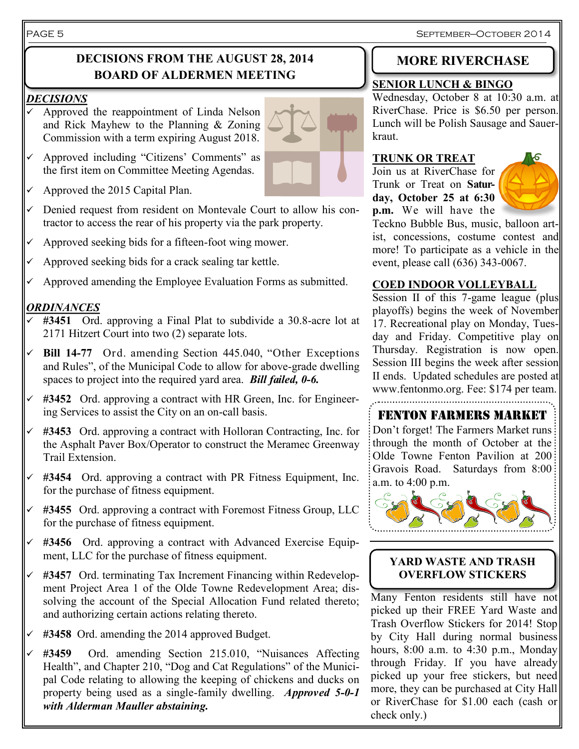September—October 2014

# **DECISIONS FROM THE AUGUST 28, 2014 BOARD OF ALDERMEN MEETING**

#### *DECISIONS*

- Approved the reappointment of Linda Nelson and Rick Mayhew to the Planning & Zoning Commission with a term expiring August 2018.
- $\checkmark$  Approved including "Citizens' Comments" as the first item on Committee Meeting Agendas.
- $\checkmark$  Approved the 2015 Capital Plan.
- $\checkmark$  Denied request from resident on Montevale Court to allow his contractor to access the rear of his property via the park property.
- $\checkmark$  Approved seeking bids for a fifteen-foot wing mower.
- $\sim$  Approved seeking bids for a crack sealing tar kettle.
- $\checkmark$  Approved amending the Employee Evaluation Forms as submitted.

### *ORDINANCES*

- **#3451** Ord. approving a Final Plat to subdivide a 30.8-acre lot at 2171 Hitzert Court into two (2) separate lots.
- **Bill 14-77** Ord. amending Section 445.040, "Other Exceptions and Rules", of the Municipal Code to allow for above-grade dwelling spaces to project into the required yard area. *Bill failed, 0-6.*
- $\checkmark$  #3452 Ord. approving a contract with HR Green, Inc. for Engineering Services to assist the City on an on-call basis.
- **#3453** Ord. approving a contract with Holloran Contracting, Inc. for the Asphalt Paver Box/Operator to construct the Meramec Greenway Trail Extension.
- **#3454** Ord. approving a contract with PR Fitness Equipment, Inc. for the purchase of fitness equipment.
- **#3455** Ord. approving a contract with Foremost Fitness Group, LLC for the purchase of fitness equipment.
- **#3456** Ord. approving a contract with Advanced Exercise Equipment, LLC for the purchase of fitness equipment.
- **#3457** Ord. terminating Tax Increment Financing within Redevelopment Project Area 1 of the Olde Towne Redevelopment Area; dissolving the account of the Special Allocation Fund related thereto; and authorizing certain actions relating thereto.
- **#3458** Ord. amending the 2014 approved Budget.
- **#3459** Ord. amending Section 215.010, "Nuisances Affecting Health", and Chapter 210, "Dog and Cat Regulations" of the Municipal Code relating to allowing the keeping of chickens and ducks on property being used as a single-family dwelling. *Approved 5-0-1 with Alderman Mauller abstaining.*

# **MORE RIVERCHASE**

#### **SENIOR LUNCH & BINGO**

Wednesday, October 8 at 10:30 a.m. at RiverChase. Price is \$6.50 per person. Lunch will be Polish Sausage and Sauerkraut.

#### **TRUNK OR TREAT**

Join us at RiverChase for Trunk or Treat on **Saturday, October 25 at 6:30 p.m.** We will have the



Teckno Bubble Bus, music, balloon artist, concessions, costume contest and more! To participate as a vehicle in the event, please call (636) 343-0067.

#### **COED INDOOR VOLLEYBALL**

Session II of this 7-game league (plus playoffs) begins the week of November 17. Recreational play on Monday, Tuesday and Friday. Competitive play on Thursday. Registration is now open. Session III begins the week after session II ends. Updated schedules are posted at www.fentonmo.org. Fee: \$174 per team. 

# FENTON FARMERS MARKET

Don't forget! The Farmers Market runs: through the month of October at the Olde Towne Fenton Pavilion at 200 Gravois Road. Saturdays from 8:00 a.m. to 4:00 p.m.



#### **YARD WASTE AND TRASH OVERFLOW STICKERS**

Many Fenton residents still have not picked up their FREE Yard Waste and Trash Overflow Stickers for 2014! Stop by City Hall during normal business hours, 8:00 a.m. to 4:30 p.m., Monday through Friday. If you have already picked up your free stickers, but need more, they can be purchased at City Hall or RiverChase for \$1.00 each (cash or check only.)

#### PAGE 5